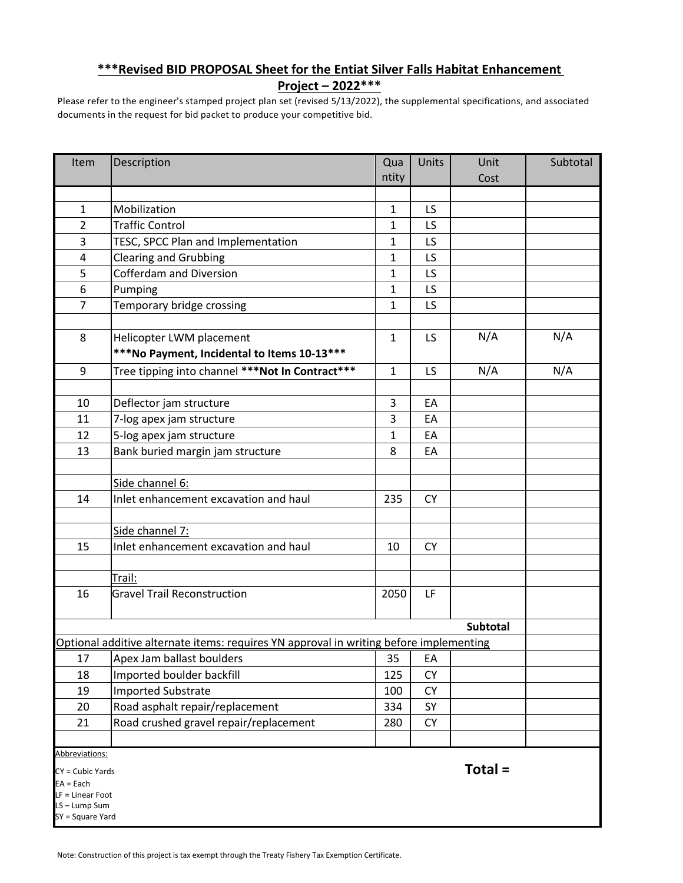## **\*\*\*Revised BID PROPOSAL Sheet for the Entiat Silver Falls Habitat Enhancement**

**Project – 2022\*\*\***

Please refer to the engineer's stamped project plan set (revised 5/13/2022), the supplemental specifications, and associated documents in the request for bid packet to produce your competitive bid.

| Item                                                                                   | Description                                     | Qua          | Units     | Unit     | Subtotal |
|----------------------------------------------------------------------------------------|-------------------------------------------------|--------------|-----------|----------|----------|
|                                                                                        |                                                 | ntity        |           | Cost     |          |
|                                                                                        |                                                 |              |           |          |          |
| $\mathbf{1}$                                                                           | Mobilization                                    | $\mathbf{1}$ | LS        |          |          |
| $\overline{2}$                                                                         | <b>Traffic Control</b>                          | $\mathbf{1}$ | LS        |          |          |
| 3                                                                                      | TESC, SPCC Plan and Implementation              | 1            | LS        |          |          |
| 4                                                                                      | <b>Clearing and Grubbing</b>                    | 1            | LS        |          |          |
| 5                                                                                      | <b>Cofferdam and Diversion</b>                  | $\mathbf{1}$ | LS        |          |          |
| 6                                                                                      | Pumping                                         | 1            | LS        |          |          |
| $\overline{7}$                                                                         | Temporary bridge crossing                       | $\mathbf{1}$ | LS        |          |          |
|                                                                                        |                                                 |              |           |          |          |
| 8                                                                                      | Helicopter LWM placement                        | $\mathbf{1}$ | LS        | N/A      | N/A      |
|                                                                                        | ***No Payment, Incidental to Items 10-13***     |              |           |          |          |
| 9                                                                                      | Tree tipping into channel ***Not In Contract*** | $\mathbf{1}$ | LS        | N/A      | N/A      |
|                                                                                        |                                                 |              |           |          |          |
| 10                                                                                     | Deflector jam structure                         | 3            | EA        |          |          |
| 11                                                                                     | 7-log apex jam structure                        | 3            | EA        |          |          |
| 12                                                                                     | 5-log apex jam structure                        | 1            | EA        |          |          |
| 13                                                                                     | Bank buried margin jam structure                | 8            | EA        |          |          |
|                                                                                        |                                                 |              |           |          |          |
|                                                                                        | Side channel 6:                                 |              |           |          |          |
| 14                                                                                     | Inlet enhancement excavation and haul           | 235          | <b>CY</b> |          |          |
|                                                                                        |                                                 |              |           |          |          |
|                                                                                        | Side channel 7:                                 |              |           |          |          |
| 15                                                                                     | Inlet enhancement excavation and haul           | 10           | <b>CY</b> |          |          |
|                                                                                        |                                                 |              |           |          |          |
|                                                                                        | Trail:                                          |              |           |          |          |
| 16                                                                                     | <b>Gravel Trail Reconstruction</b>              | 2050         | LF        |          |          |
|                                                                                        |                                                 |              |           |          |          |
|                                                                                        |                                                 |              |           | Subtotal |          |
| Optional additive alternate items: requires YN approval in writing before implementing |                                                 |              |           |          |          |
| 17                                                                                     | Apex Jam ballast boulders                       | 35           | EA        |          |          |
| 18                                                                                     | Imported boulder backfill                       | 125          | <b>CY</b> |          |          |
| 19                                                                                     | <b>Imported Substrate</b>                       | 100          | <b>CY</b> |          |          |
| 20                                                                                     | Road asphalt repair/replacement                 | 334          | SY        |          |          |
| 21                                                                                     | Road crushed gravel repair/replacement          | 280          | СY        |          |          |
|                                                                                        |                                                 |              |           |          |          |
| Abbreviations:                                                                         |                                                 |              |           |          |          |
| $CY = Cubic Yards$                                                                     |                                                 |              |           | Total =  |          |
| $EA = Each$<br>LF = Linear Foot                                                        |                                                 |              |           |          |          |

S-Lump Sum

SY = Square Yard